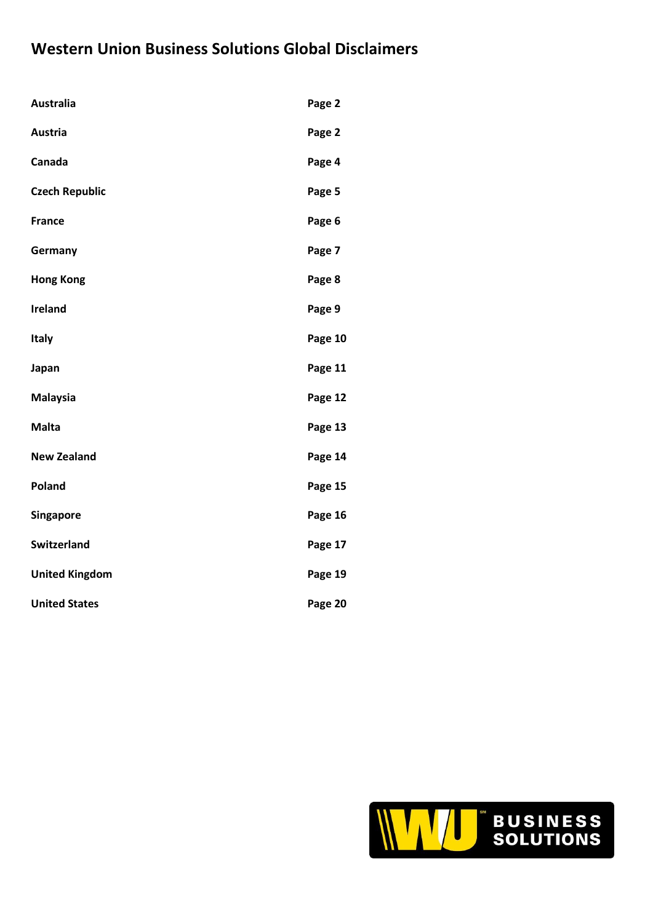# **Western Union Business Solutions Global Disclaimers**

| <b>Australia</b>      | Page 2  |
|-----------------------|---------|
| <b>Austria</b>        | Page 2  |
| Canada                | Page 4  |
| <b>Czech Republic</b> | Page 5  |
| <b>France</b>         | Page 6  |
| Germany               | Page 7  |
| <b>Hong Kong</b>      | Page 8  |
| <b>Ireland</b>        | Page 9  |
| <b>Italy</b>          | Page 10 |
| Japan                 | Page 11 |
| <b>Malaysia</b>       | Page 12 |
| <b>Malta</b>          | Page 13 |
| <b>New Zealand</b>    | Page 14 |
| Poland                | Page 15 |
| Singapore             | Page 16 |
| Switzerland           | Page 17 |
| <b>United Kingdom</b> | Page 19 |
| <b>United States</b>  | Page 20 |

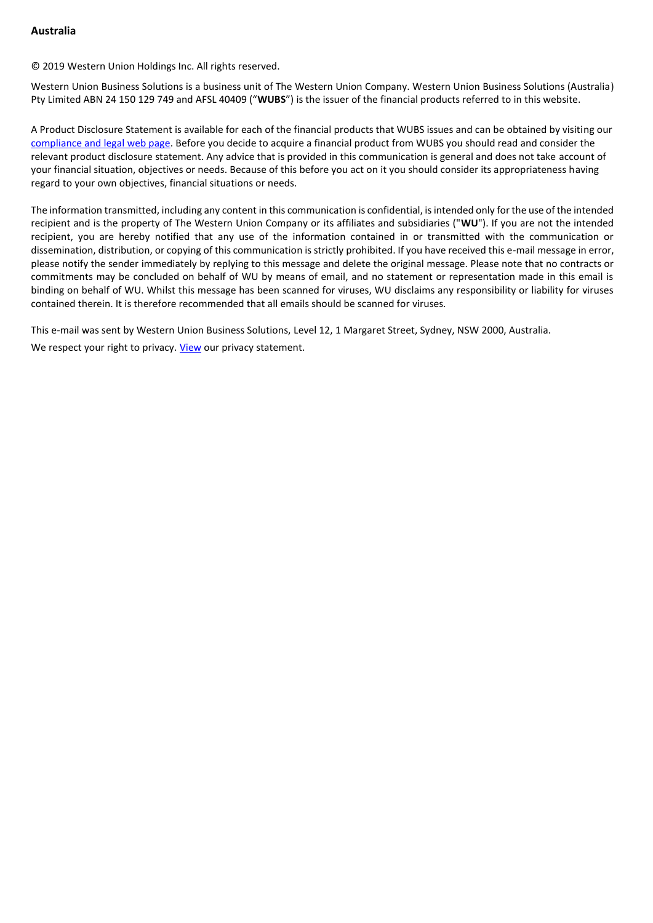# **Australia**

© 2019 Western Union Holdings Inc. All rights reserved.

Western Union Business Solutions is a business unit of The Western Union Company. Western Union Business Solutions (Australia) Pty Limited ABN 24 150 129 749 and AFSL 40409 ("**WUBS**") is the issuer of the financial products referred to in this website.

A Product Disclosure Statement is available for each of the financial products that WUBS issues and can be obtained by visiting our [compliance and legal web page.](http://business.westernunion.com.au/about/compliance/) Before you decide to acquire a financial product from WUBS you should read and consider the relevant product disclosure statement. Any advice that is provided in this communication is general and does not take account of your financial situation, objectives or needs. Because of this before you act on it you should consider its appropriateness having regard to your own objectives, financial situations or needs.

The information transmitted, including any content in this communication is confidential, is intended only for the use of the intended recipient and is the property of The Western Union Company or its affiliates and subsidiaries ("**WU**"). If you are not the intended recipient, you are hereby notified that any use of the information contained in or transmitted with the communication or dissemination, distribution, or copying of this communication is strictly prohibited. If you have received this e-mail message in error, please notify the sender immediately by replying to this message and delete the original message. Please note that no contracts or commitments may be concluded on behalf of WU by means of email, and no statement or representation made in this email is binding on behalf of WU. Whilst this message has been scanned for viruses, WU disclaims any responsibility or liability for viruses contained therein. It is therefore recommended that all emails should be scanned for viruses.

This e-mail was sent by Western Union Business Solutions, Level 12, 1 Margaret Street, Sydney, NSW 2000, Australia. We respect your right to privacy. [View](https://secure.westernunion.com/docs/privacy/wubsglobal/en-au.pdf) our privacy statement.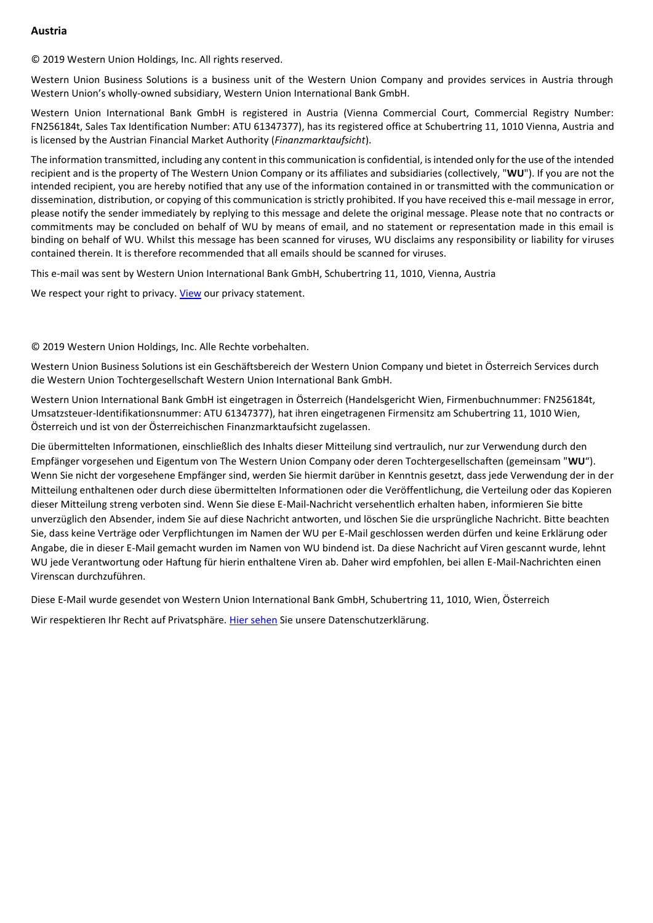## **Austria**

© 2019 Western Union Holdings, Inc. All rights reserved.

Western Union Business Solutions is a business unit of the Western Union Company and provides services in Austria through Western Union's wholly-owned subsidiary, Western Union International Bank GmbH.

Western Union International Bank GmbH is registered in Austria (Vienna Commercial Court, Commercial Registry Number: FN256184t, Sales Tax Identification Number: ATU 61347377), has its registered office at Schubertring 11, 1010 Vienna, Austria and is licensed by the Austrian Financial Market Authority (*Finanzmarktaufsicht*).

The information transmitted, including any content in this communication is confidential, is intended only for the use of the intended recipient and is the property of The Western Union Company or its affiliates and subsidiaries (collectively, "**WU**"). If you are not the intended recipient, you are hereby notified that any use of the information contained in or transmitted with the communication or dissemination, distribution, or copying of this communication is strictly prohibited. If you have received this e-mail message in error, please notify the sender immediately by replying to this message and delete the original message. Please note that no contracts or commitments may be concluded on behalf of WU by means of email, and no statement or representation made in this email is binding on behalf of WU. Whilst this message has been scanned for viruses, WU disclaims any responsibility or liability for viruses contained therein. It is therefore recommended that all emails should be scanned for viruses.

This e-mail was sent by Western Union International Bank GmbH, Schubertring 11, 1010, Vienna, Austria

We respect your right to privacy. [View](https://secure.westernunion.com/docs/privacy/wubsglobal/en-at.pdf) our privacy statement.

#### © 2019 Western Union Holdings, Inc. Alle Rechte vorbehalten.

Western Union Business Solutions ist ein Geschäftsbereich der Western Union Company und bietet in Österreich Services durch die Western Union Tochtergesellschaft Western Union International Bank GmbH.

Western Union International Bank GmbH ist eingetragen in Österreich (Handelsgericht Wien, Firmenbuchnummer: FN256184t, Umsatzsteuer-Identifikationsnummer: ATU 61347377), hat ihren eingetragenen Firmensitz am Schubertring 11, 1010 Wien, Österreich und ist von der Österreichischen Finanzmarktaufsicht zugelassen.

Die übermittelten Informationen, einschließlich des Inhalts dieser Mitteilung sind vertraulich, nur zur Verwendung durch den Empfänger vorgesehen und Eigentum von The Western Union Company oder deren Tochtergesellschaften (gemeinsam "**WU**"). Wenn Sie nicht der vorgesehene Empfänger sind, werden Sie hiermit darüber in Kenntnis gesetzt, dass jede Verwendung der in der Mitteilung enthaltenen oder durch diese übermittelten Informationen oder die Veröffentlichung, die Verteilung oder das Kopieren dieser Mitteilung streng verboten sind. Wenn Sie diese E-Mail-Nachricht versehentlich erhalten haben, informieren Sie bitte unverzüglich den Absender, indem Sie auf diese Nachricht antworten, und löschen Sie die ursprüngliche Nachricht. Bitte beachten Sie, dass keine Verträge oder Verpflichtungen im Namen der WU per E-Mail geschlossen werden dürfen und keine Erklärung oder Angabe, die in dieser E-Mail gemacht wurden im Namen von WU bindend ist. Da diese Nachricht auf Viren gescannt wurde, lehnt WU jede Verantwortung oder Haftung für hierin enthaltene Viren ab. Daher wird empfohlen, bei allen E-Mail-Nachrichten einen Virenscan durchzuführen.

Diese E-Mail wurde gesendet von Western Union International Bank GmbH, Schubertring 11, 1010, Wien, Österreich

Wir respektieren Ihr Recht auf Privatsphäre. [Hier sehen](https://secure.westernunion.com/docs/privacy/wubsglobal/de-at.pdf) Sie unsere Datenschutzerklärung.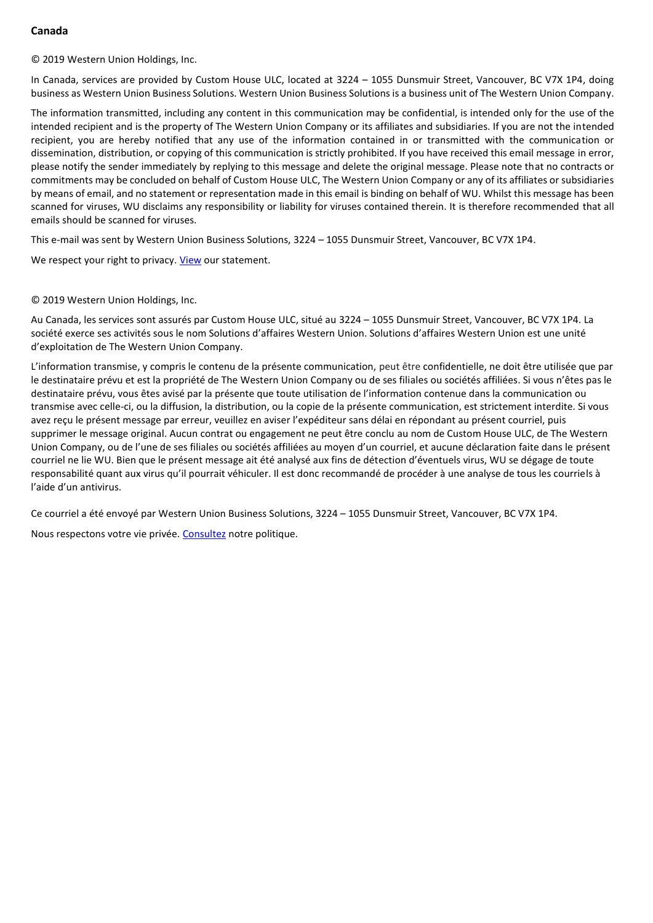# **Canada**

© 2019 Western Union Holdings, Inc.

In Canada, services are provided by Custom House ULC, located at 3224 – 1055 Dunsmuir Street, Vancouver, BC V7X 1P4, doing business as Western Union Business Solutions. Western Union Business Solutions is a business unit of The Western Union Company.

The information transmitted, including any content in this communication may be confidential, is intended only for the use of the intended recipient and is the property of The Western Union Company or its affiliates and subsidiaries. If you are not the intended recipient, you are hereby notified that any use of the information contained in or transmitted with the communication or dissemination, distribution, or copying of this communication is strictly prohibited. If you have received this email message in error, please notify the sender immediately by replying to this message and delete the original message. Please note that no contracts or commitments may be concluded on behalf of Custom House ULC, The Western Union Company or any of its affiliates or subsidiaries by means of email, and no statement or representation made in this email is binding on behalf of WU. Whilst this message has been scanned for viruses, WU disclaims any responsibility or liability for viruses contained therein. It is therefore recommended that all emails should be scanned for viruses.

This e-mail was sent by Western Union Business Solutions, 3224 – 1055 Dunsmuir Street, Vancouver, BC V7X 1P4.

We respect your right to privacy. [View](https://secure.westernunion.com/docs/privacy/wubsglobal/en-ca.pdf) our statement.

#### © 2019 Western Union Holdings, Inc.

Au Canada, les services sont assurés par Custom House ULC, situé au 3224 – 1055 Dunsmuir Street, Vancouver, BC V7X 1P4. La société exerce ses activités sous le nom Solutions d'affaires Western Union. Solutions d'affaires Western Union est une unité d'exploitation de The Western Union Company.

L'information transmise, y compris le contenu de la présente communication, peut être confidentielle, ne doit être utilisée que par le destinataire prévu et est la propriété de The Western Union Company ou de ses filiales ou sociétés affiliées. Si vous n'êtes pas le destinataire prévu, vous êtes avisé par la présente que toute utilisation de l'information contenue dans la communication ou transmise avec celle-ci, ou la diffusion, la distribution, ou la copie de la présente communication, est strictement interdite. Si vous avez reçu le présent message par erreur, veuillez en aviser l'expéditeur sans délai en répondant au présent courriel, puis supprimer le message original. Aucun contrat ou engagement ne peut être conclu au nom de Custom House ULC, de The Western Union Company, ou de l'une de ses filiales ou sociétés affiliées au moyen d'un courriel, et aucune déclaration faite dans le présent courriel ne lie WU. Bien que le présent message ait été analysé aux fins de détection d'éventuels virus, WU se dégage de toute responsabilité quant aux virus qu'il pourrait véhiculer. Il est donc recommandé de procéder à une analyse de tous les courriels à l'aide d'un antivirus.

Ce courriel a été envoyé par Western Union Business Solutions, 3224 – 1055 Dunsmuir Street, Vancouver, BC V7X 1P4.

Nous respectons votre vie privée[. Consultez](https://secure.westernunion.com/docs/privacy/wubsglobal/fr-ca.pdf) notre politique.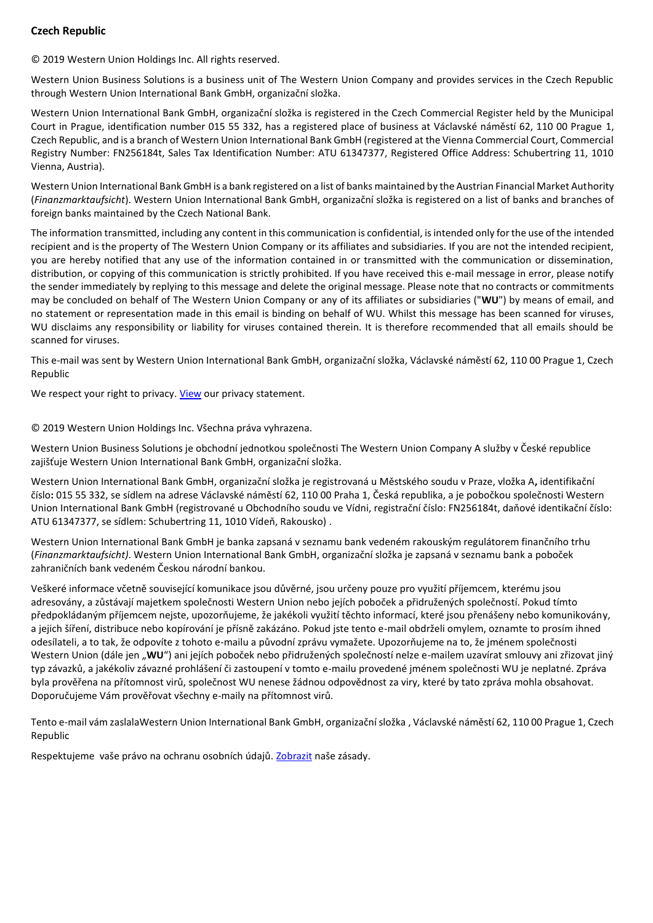# **Czech Republic**

© 2019 Western Union Holdings Inc. All rights reserved.

Western Union Business Solutions is a business unit of The Western Union Company and provides services in the Czech Republic through Western Union International Bank GmbH, organizační složka.

Western Union International Bank GmbH, organizační složka is registered in the Czech Commercial Register held by the Municipal Court in Prague, identification number 015 55 332, has a registered place of business at Václavské náměstí 62, 110 00 Prague 1, Czech Republic, and is a branch of Western Union International Bank GmbH (registered at the Vienna Commercial Court, Commercial Registry Number: FN256184t, Sales Tax Identification Number: ATU 61347377, Registered Office Address: Schubertring 11, 1010 Vienna, Austria).

Western Union International Bank GmbH is a bank registered on a list of banks maintained by the Austrian Financial Market Authority (*Finanzmarktaufsicht*). Western Union International Bank GmbH, organizační složka is registered on a list of banks and branches of foreign banks maintained by the Czech National Bank.

The information transmitted, including any content in this communication is confidential, is intended only for the use of the intended recipient and is the property of The Western Union Company or its affiliates and subsidiaries. If you are not the intended recipient, you are hereby notified that any use of the information contained in or transmitted with the communication or dissemination, distribution, or copying of this communication is strictly prohibited. If you have received this e-mail message in error, please notify the sender immediately by replying to this message and delete the original message. Please note that no contracts or commitments may be concluded on behalf of The Western Union Company or any of its affiliates or subsidiaries ("**WU**") by means of email, and no statement or representation made in this email is binding on behalf of WU. Whilst this message has been scanned for viruses, WU disclaims any responsibility or liability for viruses contained therein. It is therefore recommended that all emails should be scanned for viruses.

This e-mail was sent by Western Union International Bank GmbH, organizační složka, Václavské náměstí 62, 110 00 Prague 1, Czech Republic

We respect your right to privacy. [View](https://secure.westernunion.com/docs/privacy/wubsglobal/en-cz.pdf) our privacy statement.

## © 2019 Western Union Holdings Inc. Všechna práva vyhrazena.

Western Union Business Solutions je obchodní jednotkou společnosti The Western Union Company A služby v České republice zajišťuje Western Union International Bank GmbH, organizační složka.

Western Union International Bank GmbH, organizační složka je registrovaná u Městského soudu v Praze, vložka A**,** identifikační číslo**:** 015 55 332, se sídlem na adrese Václavské náměstí 62, 110 00 Praha 1, Česká republika, a je pobočkou společnosti Western Union International Bank GmbH (registrované u Obchodního soudu ve Vídni, registrační číslo: FN256184t, daňové identikační číslo: ATU 61347377, se sídlem: Schubertring 11, 1010 Vídeň, Rakousko) .

Western Union International Bank GmbH je banka zapsaná v seznamu bank vedeném rakouským regulátorem finančního trhu (*Finanzmarktaufsicht)*. Western Union International Bank GmbH, organizační složka je zapsaná v seznamu bank a poboček zahraničních bank vedeném Českou národní bankou.

Veškeré informace včetně související komunikace jsou důvěrné, jsou určeny pouze pro využití příjemcem, kterému jsou adresovány, a zůstávají majetkem společnosti Western Union nebo jejích poboček a přidružených společností. Pokud tímto předpokládaným příjemcem nejste, upozorňujeme, že jakékoli využití těchto informací, které jsou přenášeny nebo komunikovány, a jejich šíření, distribuce nebo kopírování je přísně zakázáno. Pokud jste tento e-mail obdrželi omylem, oznamte to prosím ihned odesílateli, a to tak, že odpovíte z tohoto e-mailu a původní zprávu vymažete. Upozorňujeme na to, že jménem společnosti Western Union (dále jen "WU") ani jejích poboček nebo přidružených společností nelze e-mailem uzavírat smlouvy ani zřizovat jiný typ závazků, a jakékoliv závazné prohlášení či zastoupení v tomto e-mailu provedené jménem společnosti WU je neplatné. Zpráva byla prověřena na přítomnost virů, společnost WU nenese žádnou odpovědnost za viry, které by tato zpráva mohla obsahovat. Doporučujeme Vám prověřovat všechny e-maily na přítomnost virů.

Tento e-mail vám zaslalaWestern Union International Bank GmbH, organizační složka , Václavské náměstí 62, 110 00 Prague 1, Czech Republic

Respektujeme vaše právo na ochranu osobních údajů. [Zobrazit](https://secure.westernunion.com/docs/privacy/wubsglobal/cs-cz.pdf) naše zásady.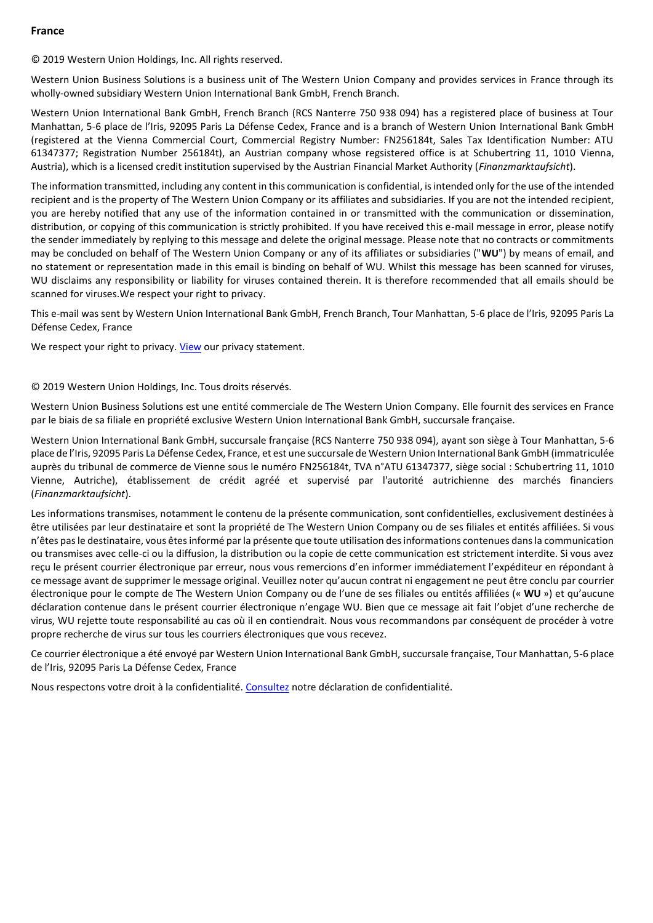## **France**

© 2019 Western Union Holdings, Inc. All rights reserved.

Western Union Business Solutions is a business unit of The Western Union Company and provides services in France through its wholly-owned subsidiary Western Union International Bank GmbH, French Branch.

Western Union International Bank GmbH, French Branch (RCS Nanterre 750 938 094) has a registered place of business at Tour Manhattan, 5-6 place de l'Iris, 92095 Paris La Défense Cedex, France and is a branch of Western Union International Bank GmbH (registered at the Vienna Commercial Court, Commercial Registry Number: FN256184t, Sales Tax Identification Number: ATU 61347377; Registration Number 256184t), an Austrian company whose regsistered office is at Schubertring 11, 1010 Vienna, Austria), which is a licensed credit institution supervised by the Austrian Financial Market Authority (*Finanzmarktaufsicht*).

The information transmitted, including any content in this communication is confidential, is intended only for the use of the intended recipient and is the property of The Western Union Company or its affiliates and subsidiaries. If you are not the intended recipient, you are hereby notified that any use of the information contained in or transmitted with the communication or dissemination, distribution, or copying of this communication is strictly prohibited. If you have received this e-mail message in error, please notify the sender immediately by replying to this message and delete the original message. Please note that no contracts or commitments may be concluded on behalf of The Western Union Company or any of its affiliates or subsidiaries ("**WU**") by means of email, and no statement or representation made in this email is binding on behalf of WU. Whilst this message has been scanned for viruses, WU disclaims any responsibility or liability for viruses contained therein. It is therefore recommended that all emails should be scanned for viruses.We respect your right to privacy.

This e-mail was sent by Western Union International Bank GmbH, French Branch, Tour Manhattan, 5-6 place de l'Iris, 92095 Paris La Défense Cedex, France

We respect your right to privacy. [View](https://secure.westernunion.com/docs/privacy/wubsglobal/en-fr.pdf) our privacy statement.

#### © 2019 Western Union Holdings, Inc. Tous droits réservés.

Western Union Business Solutions est une entité commerciale de The Western Union Company. Elle fournit des services en France par le biais de sa filiale en propriété exclusive Western Union International Bank GmbH, succursale française.

Western Union International Bank GmbH, succursale française (RCS Nanterre 750 938 094), ayant son siège à Tour Manhattan, 5-6 place de l'Iris, 92095 Paris La Défense Cedex, France, et est une succursale de Western Union International Bank GmbH (immatriculée auprès du tribunal de commerce de Vienne sous le numéro FN256184t, TVA n°ATU 61347377, siège social : Schubertring 11, 1010 Vienne, Autriche), établissement de crédit agréé et supervisé par l'autorité autrichienne des marchés financiers (*Finanzmarktaufsicht*).

Les informations transmises, notamment le contenu de la présente communication, sont confidentielles, exclusivement destinées à être utilisées par leur destinataire et sont la propriété de The Western Union Company ou de ses filiales et entités affiliées. Si vous n'êtes pas le destinataire, vous êtes informé par la présente que toute utilisation des informations contenues dans la communication ou transmises avec celle-ci ou la diffusion, la distribution ou la copie de cette communication est strictement interdite. Si vous avez reçu le présent courrier électronique par erreur, nous vous remercions d'en informer immédiatement l'expéditeur en répondant à ce message avant de supprimer le message original. Veuillez noter qu'aucun contrat ni engagement ne peut être conclu par courrier électronique pour le compte de The Western Union Company ou de l'une de ses filiales ou entités affiliées (« **WU** ») et qu'aucune déclaration contenue dans le présent courrier électronique n'engage WU. Bien que ce message ait fait l'objet d'une recherche de virus, WU rejette toute responsabilité au cas où il en contiendrait. Nous vous recommandons par conséquent de procéder à votre propre recherche de virus sur tous les courriers électroniques que vous recevez.

Ce courrier électronique a été envoyé par Western Union International Bank GmbH, succursale française, Tour Manhattan, 5-6 place de l'Iris, 92095 Paris La Défense Cedex, France

Nous respectons votre droit à la confidentialité. [Consultez](https://secure.westernunion.com/docs/privacy/wubsglobal/fr-fr.pdf) notre déclaration de confidentialité.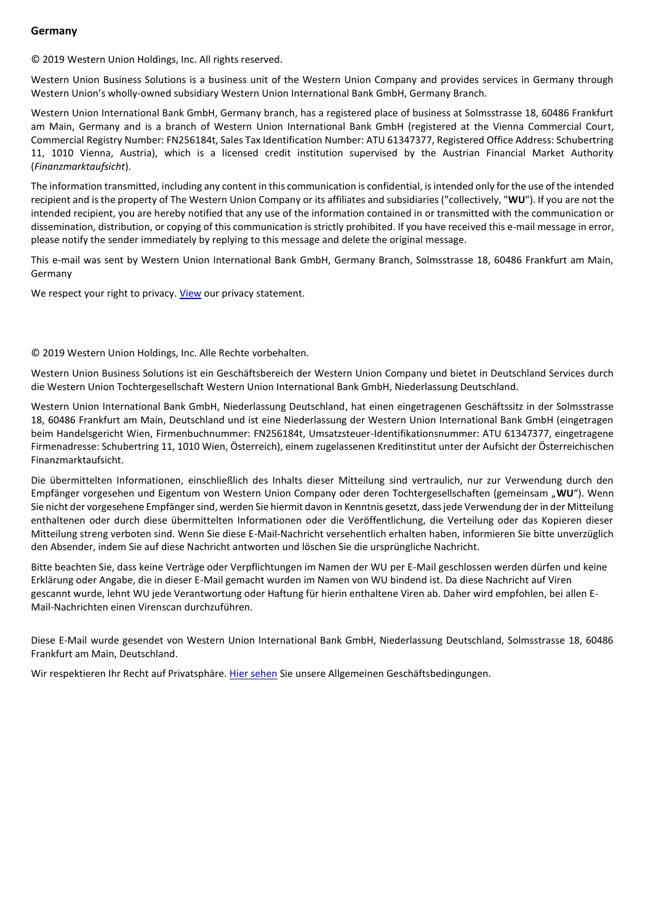## **Germany**

© 2019 Western Union Holdings, Inc. All rights reserved.

Western Union Business Solutions is a business unit of the Western Union Company and provides services in Germany through Western Union's wholly-owned subsidiary Western Union International Bank GmbH, Germany Branch.

Western Union International Bank GmbH, Germany branch, has a registered place of business at Solmsstrasse 18, 60486 Frankfurt am Main, Germany and is a branch of Western Union International Bank GmbH (registered at the Vienna Commercial Court, Commercial Registry Number: FN256184t, Sales Tax Identification Number: ATU 61347377, Registered Office Address: Schubertring 11, 1010 Vienna, Austria), which is a licensed credit institution supervised by the Austrian Financial Market Authority (*Finanzmarktaufsicht*).

The information transmitted, including any content in this communication is confidential, is intended only for the use of the intended recipient and is the property of The Western Union Company or its affiliates and subsidiaries ("collectively, "**WU**"). If you are not the intended recipient, you are hereby notified that any use of the information contained in or transmitted with the communication or dissemination, distribution, or copying of this communication is strictly prohibited. If you have received this e-mail message in error, please notify the sender immediately by replying to this message and delete the original message.

This e-mail was sent by Western Union International Bank GmbH, Germany Branch, Solmsstrasse 18, 60486 Frankfurt am Main, Germany

We respect your right to privacy. [View](https://secure.westernunion.com/docs/privacy/wubsglobal/en-de.pdf) our privacy statement.

#### © 2019 Western Union Holdings, Inc. Alle Rechte vorbehalten.

Western Union Business Solutions ist ein Geschäftsbereich der Western Union Company und bietet in Deutschland Services durch die Western Union Tochtergesellschaft Western Union International Bank GmbH, Niederlassung Deutschland.

Western Union International Bank GmbH, Niederlassung Deutschland, hat einen eingetragenen Geschäftssitz in der Solmsstrasse 18, 60486 Frankfurt am Main, Deutschland und ist eine Niederlassung der Western Union International Bank GmbH (eingetragen beim Handelsgericht Wien, Firmenbuchnummer: FN256184t, Umsatzsteuer-Identifikationsnummer: ATU 61347377, eingetragene Firmenadresse: Schubertring 11, 1010 Wien, Österreich), einem zugelassenen Kreditinstitut unter der Aufsicht der Österreichischen Finanzmarktaufsicht.

Die übermittelten Informationen, einschließlich des Inhalts dieser Mitteilung sind vertraulich, nur zur Verwendung durch den Empfänger vorgesehen und Eigentum von Western Union Company oder deren Tochtergesellschaften (gemeinsam "WU"). Wenn Sie nicht der vorgesehene Empfänger sind, werden Sie hiermit davon in Kenntnis gesetzt, dass jede Verwendung der in der Mitteilung enthaltenen oder durch diese übermittelten Informationen oder die Veröffentlichung, die Verteilung oder das Kopieren dieser Mitteilung streng verboten sind. Wenn Sie diese E-Mail-Nachricht versehentlich erhalten haben, informieren Sie bitte unverzüglich den Absender, indem Sie auf diese Nachricht antworten und löschen Sie die ursprüngliche Nachricht.

Bitte beachten Sie, dass keine Verträge oder Verpflichtungen im Namen der WU per E-Mail geschlossen werden dürfen und keine Erklärung oder Angabe, die in dieser E-Mail gemacht wurden im Namen von WU bindend ist. Da diese Nachricht auf Viren gescannt wurde, lehnt WU jede Verantwortung oder Haftung für hierin enthaltene Viren ab. Daher wird empfohlen, bei allen E-Mail-Nachrichten einen Virenscan durchzuführen.

Diese E-Mail wurde gesendet von Western Union International Bank GmbH, Niederlassung Deutschland, Solmsstrasse 18, 60486 Frankfurt am Main, Deutschland.

Wir respektieren Ihr Recht auf Privatsphäre. [Hier sehen](https://secure.westernunion.com/docs/privacy/wubsglobal/de-de.pdf) Sie unsere Allgemeinen Geschäftsbedingungen.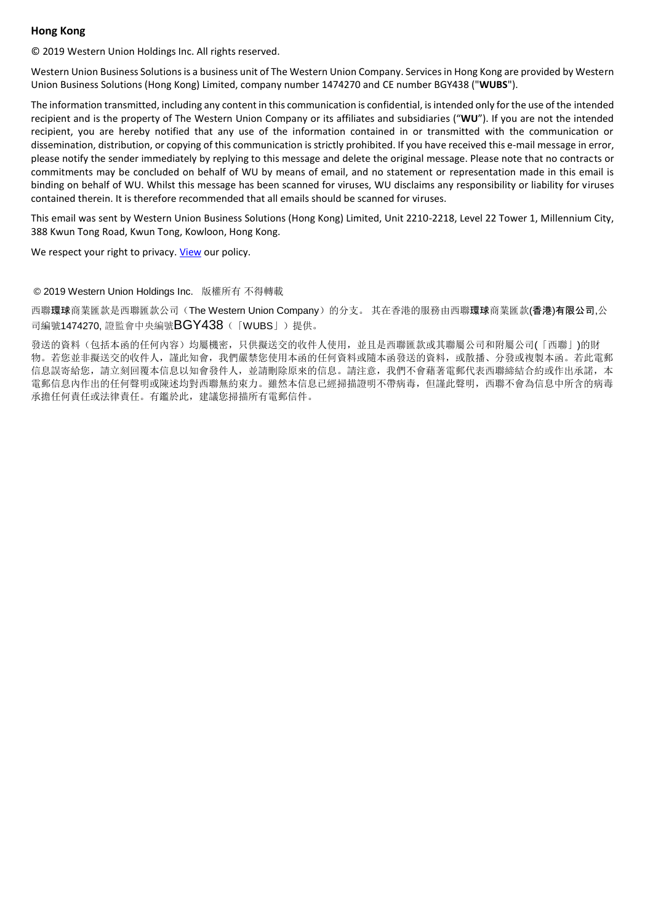## **Hong Kong**

© 2019 Western Union Holdings Inc. All rights reserved.

Western Union Business Solutions is a business unit of The Western Union Company. Services in Hong Kong are provided by Western Union Business Solutions (Hong Kong) Limited, company number 1474270 and CE number BGY438 ("**WUBS**").

The information transmitted, including any content in this communication is confidential, is intended only for the use of the intended recipient and is the property of The Western Union Company or its affiliates and subsidiaries ("**WU**"). If you are not the intended recipient, you are hereby notified that any use of the information contained in or transmitted with the communication or dissemination, distribution, or copying of this communication is strictly prohibited. If you have received this e-mail message in error, please notify the sender immediately by replying to this message and delete the original message. Please note that no contracts or commitments may be concluded on behalf of WU by means of email, and no statement or representation made in this email is binding on behalf of WU. Whilst this message has been scanned for viruses, WU disclaims any responsibility or liability for viruses contained therein. It is therefore recommended that all emails should be scanned for viruses.

This email was sent by Western Union Business Solutions (Hong Kong) Limited, Unit 2210-2218, Level 22 Tower 1, Millennium City, 388 Kwun Tong Road, Kwun Tong, Kowloon, Hong Kong.

We respect your right to privacy. [View](https://secure.westernunion.com/docs/privacy/tgbp/en-hk/) our policy.

#### © 2019 Western Union Holdings Inc. 版權所有 不得轉載

西聯環球商業匯款是西聯匯款公司(The Western Union Company)的分支。 其在香港的服務由西聯環球商業匯款(香港)有限公司,公 司編號1474270, 證監會中央編號BGY438(「WUBS」)提供。

發送的資料(包括本函的任何內容)均屬機密,只供擬送交的收件人使用,並且是西聯匯款或其聯屬公司和附屬公司(「西聯」)的財 物。若您並非擬送交的收件人,謹此知會,我們嚴禁您使用本函的任何資料或隨本函發送的資料,或散播、分發或複製本函。若此電郵 信息誤寄給您,請立刻回覆本信息以知會發件人,並請刪除原來的信息。請注意,我們不會藉著電郵代表西聯締結合約或作出承諾,本 電郵信息內作出的任何聲明或陳述均對西聯無約束力。雖然本信息已經掃描證明不帶病毒,但謹此聲明,西聯不會為信息中所含的病毒 承擔任何責任或法律責任。有鑑於此,建議您掃描所有電郵信件。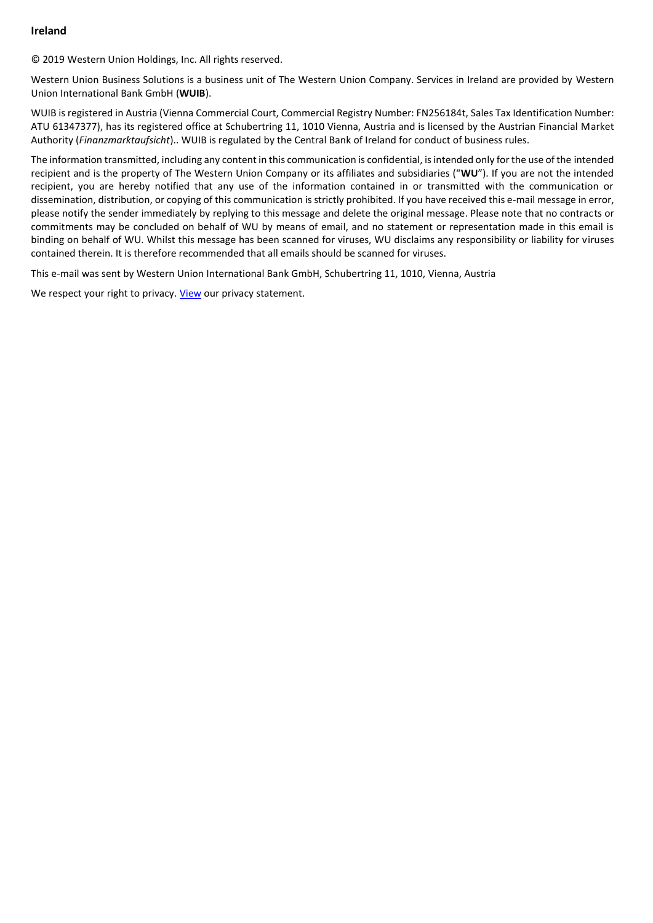## **Ireland**

© 2019 Western Union Holdings, Inc. All rights reserved.

Western Union Business Solutions is a business unit of The Western Union Company. Services in Ireland are provided by Western Union International Bank GmbH (**WUIB**).

WUIB is registered in Austria (Vienna Commercial Court, Commercial Registry Number: FN256184t, Sales Tax Identification Number: ATU 61347377), has its registered office at Schubertring 11, 1010 Vienna, Austria and is licensed by the Austrian Financial Market Authority (*Finanzmarktaufsicht*).. WUIB is regulated by the Central Bank of Ireland for conduct of business rules.

The information transmitted, including any content in this communication is confidential, is intended only for the use of the intended recipient and is the property of The Western Union Company or its affiliates and subsidiaries ("**WU**"). If you are not the intended recipient, you are hereby notified that any use of the information contained in or transmitted with the communication or dissemination, distribution, or copying of this communication is strictly prohibited. If you have received this e-mail message in error, please notify the sender immediately by replying to this message and delete the original message. Please note that no contracts or commitments may be concluded on behalf of WU by means of email, and no statement or representation made in this email is binding on behalf of WU. Whilst this message has been scanned for viruses, WU disclaims any responsibility or liability for viruses contained therein. It is therefore recommended that all emails should be scanned for viruses.

This e-mail was sent by Western Union International Bank GmbH, Schubertring 11, 1010, Vienna, Austria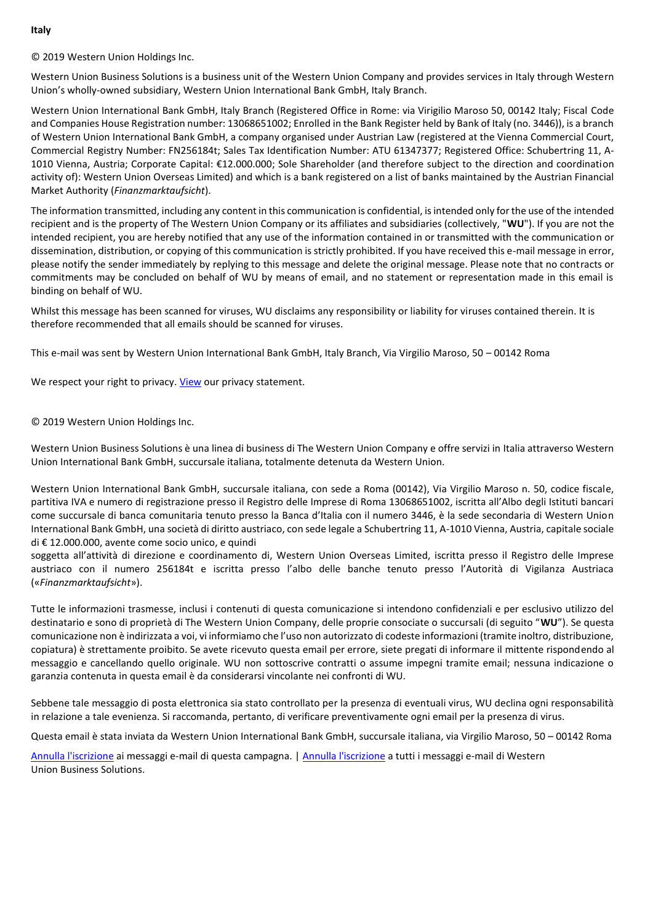#### **Italy**

© 2019 Western Union Holdings Inc.

Western Union Business Solutions is a business unit of the Western Union Company and provides services in Italy through Western Union's wholly-owned subsidiary, Western Union International Bank GmbH, Italy Branch.

Western Union International Bank GmbH, Italy Branch (Registered Office in Rome: via Virigilio Maroso 50, 00142 Italy; Fiscal Code and Companies House Registration number: 13068651002; Enrolled in the Bank Register held by Bank of Italy (no. 3446)), is a branch of Western Union International Bank GmbH, a company organised under Austrian Law (registered at the Vienna Commercial Court, Commercial Registry Number: FN256184t; Sales Tax Identification Number: ATU 61347377; Registered Office: Schubertring 11, A-1010 Vienna, Austria; Corporate Capital: €12.000.000; Sole Shareholder (and therefore subject to the direction and coordination activity of): Western Union Overseas Limited) and which is a bank registered on a list of banks maintained by the Austrian Financial Market Authority (*Finanzmarktaufsicht*).

The information transmitted, including any content in this communication is confidential, is intended only for the use of the intended recipient and is the property of The Western Union Company or its affiliates and subsidiaries (collectively, "**WU**"). If you are not the intended recipient, you are hereby notified that any use of the information contained in or transmitted with the communication or dissemination, distribution, or copying of this communication is strictly prohibited. If you have received this e-mail message in error, please notify the sender immediately by replying to this message and delete the original message. Please note that no contracts or commitments may be concluded on behalf of WU by means of email, and no statement or representation made in this email is binding on behalf of WU.

Whilst this message has been scanned for viruses, WU disclaims any responsibility or liability for viruses contained therein. It is therefore recommended that all emails should be scanned for viruses.

This e-mail was sent by Western Union International Bank GmbH, Italy Branch, Via Virgilio Maroso, 50 – 00142 Roma

We respect your right to privacy. [View](https://secure.westernunion.com/docs/privacy/wubsglobal/en-it.pdf) our privacy statement.

## © 2019 Western Union Holdings Inc.

Western Union Business Solutions è una linea di business di The Western Union Company e offre servizi in Italia attraverso Western Union International Bank GmbH, succursale italiana, totalmente detenuta da Western Union.

Western Union International Bank GmbH, succursale italiana, con sede a Roma (00142), Via Virgilio Maroso n. 50, codice fiscale, partitiva IVA e numero di registrazione presso il Registro delle Imprese di Roma 13068651002, iscritta all'Albo degli Istituti bancari come succursale di banca comunitaria tenuto presso la Banca d'Italia con il numero 3446, è la sede secondaria di Western Union International Bank GmbH, una società di diritto austriaco, con sede legale a Schubertring 11, A-1010 Vienna, Austria, capitale sociale di € 12.000.000, avente come socio unico, e quindi

soggetta all'attività di direzione e coordinamento di, Western Union Overseas Limited, iscritta presso il Registro delle Imprese austriaco con il numero 256184t e iscritta presso l'albo delle banche tenuto presso l'Autorità di Vigilanza Austriaca («*Finanzmarktaufsicht*»).

Tutte le informazioni trasmesse, inclusi i contenuti di questa comunicazione si intendono confidenziali e per esclusivo utilizzo del destinatario e sono di proprietà di The Western Union Company, delle proprie consociate o succursali (di seguito "**WU**"). Se questa comunicazione non è indirizzata a voi, vi informiamo che l'uso non autorizzato di codeste informazioni (tramite inoltro, distribuzione, copiatura) è strettamente proibito. Se avete ricevuto questa email per errore, siete pregati di informare il mittente rispondendo al messaggio e cancellando quello originale. WU non sottoscrive contratti o assume impegni tramite email; nessuna indicazione o garanzia contenuta in questa email è da considerarsi vincolante nei confronti di WU.

Sebbene tale messaggio di posta elettronica sia stato controllato per la presenza di eventuali virus, WU declina ogni responsabilità in relazione a tale evenienza. Si raccomanda, pertanto, di verificare preventivamente ogni email per la presenza di virus.

Questa email è stata inviata da Western Union International Bank GmbH, succursale italiana, via Virgilio Maroso, 50 – 00142 Roma

[Annulla l'iscrizione](http://eloqua.link/e/cu.aspx?s=%3cspan%20class=eloquaemail%3esiteid%3c/span%3e&elqc=%3cspan%20class=eloquaemail%3ecampaignid%3c/span%3e&elq=%3cspan%20class=eloquaemail%3erecipientid%3c/span%3e) ai messaggi e-mail di questa campagna. | [Annulla l'iscrizione](http://eloqua.link/e/u.aspx?s=%3cspan%20class=eloquaemail%3esiteid%3c/span%3e&elq=%3cspan%20class=eloquaemail%3erecipientid%3c/span%3e) a tutti i messaggi e-mail di Western Union Business Solutions.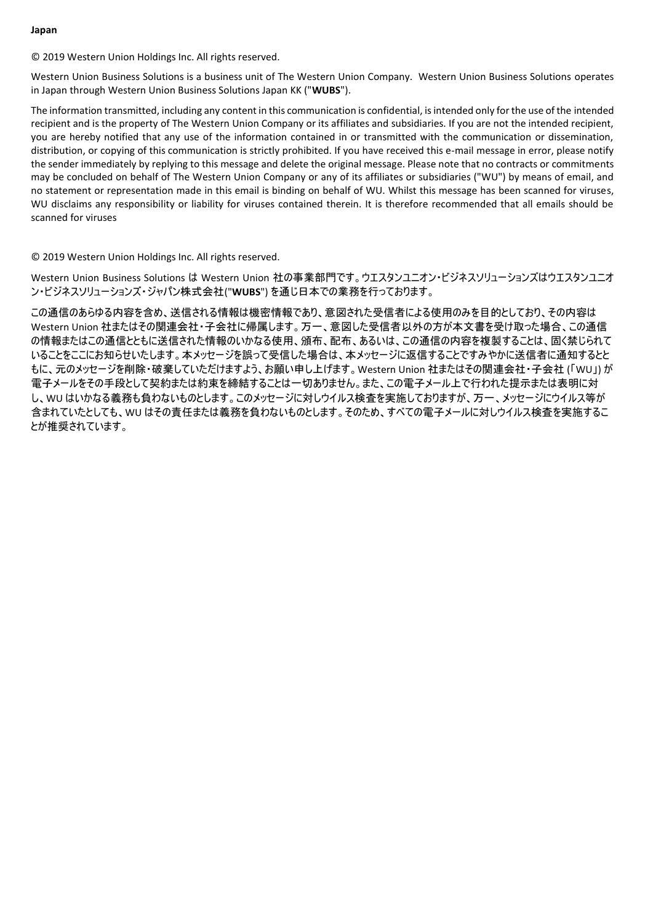#### **Japan**

© 2019 Western Union Holdings Inc. All rights reserved.

Western Union Business Solutions is a business unit of The Western Union Company. Western Union Business Solutions operates in Japan through Western Union Business Solutions Japan KK ("**WUBS**").

The information transmitted, including any content in this communication is confidential, is intended only for the use of the intended recipient and is the property of The Western Union Company or its affiliates and subsidiaries. If you are not the intended recipient, you are hereby notified that any use of the information contained in or transmitted with the communication or dissemination, distribution, or copying of this communication is strictly prohibited. If you have received this e-mail message in error, please notify the sender immediately by replying to this message and delete the original message. Please note that no contracts or commitments may be concluded on behalf of The Western Union Company or any of its affiliates or subsidiaries ("WU") by means of email, and no statement or representation made in this email is binding on behalf of WU. Whilst this message has been scanned for viruses, WU disclaims any responsibility or liability for viruses contained therein. It is therefore recommended that all emails should be scanned for viruses

© 2019 Western Union Holdings Inc. All rights reserved.

Western Union Business Solutions は Western Union 社の事業部門です。ウエスタンユニオン・ビジネスソリューションズはウエスタンユニオ ン・ビジネスソリューションズ・ジャパン株式会社("**WUBS**") を通じ日本での業務を行っております。

この通信のあらゆる内容を含め、送信される情報は機密情報であり、意図された受信者による使用のみを目的としており、その内容は Western Union 社またはその関連会社・子会社に帰属します。万一、意図した受信者以外の方が本文書を受け取った場合、この通信 の情報またはこの通信とともに送信された情報のいかなる使用、頒布、配布、あるいは、この通信の内容を複製することは、固く禁じられて いることをここにお知らせいたします。本メッセージを誤って受信した場合は、本メッセージに返信することですみやかに送信者に通知するとと もに、元のメッセージを削除・破棄していただけますよう、お願い申し上げます。Western Union 社またはその関連会社・子会社 (「WU」) が 電子メールをその手段として契約または約束を締結することは一切ありません。また、この電子メール上で行われた提示または表明に対 し、WU はいかなる義務も負わないものとします。このメッセージに対しウイルス検査を実施しておりますが、万一、メッセージにウイルス等が 含まれていたとしても、WU はその責任または義務を負わないものとします。そのため、すべての電子メールに対しウイルス検査を実施するこ とが推奨されています。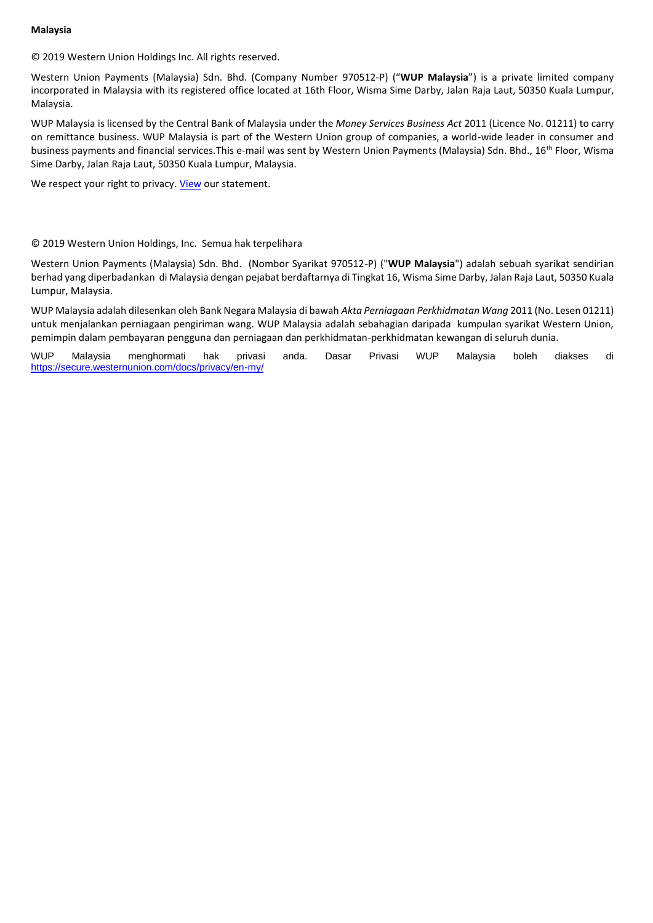#### **Malaysia**

© 2019 Western Union Holdings Inc. All rights reserved.

Western Union Payments (Malaysia) Sdn. Bhd. (Company Number 970512-P) ("**WUP Malaysia**") is a private limited company incorporated in Malaysia with its registered office located at 16th Floor, Wisma Sime Darby, Jalan Raja Laut, 50350 Kuala Lumpur, Malaysia.

WUP Malaysia is licensed by the Central Bank of Malaysia under the *Money Services Business Act* 2011 (Licence No. 01211) to carry on remittance business. WUP Malaysia is part of the Western Union group of companies, a world-wide leader in consumer and business payments and financial services. This e-mail was sent by Western Union Payments (Malaysia) Sdn. Bhd., 16<sup>th</sup> Floor, Wisma Sime Darby, Jalan Raja Laut, 50350 Kuala Lumpur, Malaysia.

We respect your right to privacy. [View](https://secure.westernunion.com/docs/privacy/wubsglobal/en-my.pdf) our statement.

## © 2019 Western Union Holdings, Inc. Semua hak terpelihara

Western Union Payments (Malaysia) Sdn. Bhd. (Nombor Syarikat 970512-P) ("**WUP Malaysia**") adalah sebuah syarikat sendirian berhad yang diperbadankan di Malaysia dengan pejabat berdaftarnya di Tingkat 16, Wisma Sime Darby, Jalan Raja Laut, 50350 Kuala Lumpur, Malaysia.

WUP Malaysia adalah dilesenkan oleh Bank Negara Malaysia di bawah *Akta Perniagaan Perkhidmatan Wang* 2011 (No. Lesen 01211) untuk menjalankan perniagaan pengiriman wang. WUP Malaysia adalah sebahagian daripada kumpulan syarikat Western Union, pemimpin dalam pembayaran pengguna dan perniagaan dan perkhidmatan-perkhidmatan kewangan di seluruh dunia.

WUP Malaysia menghormati hak privasi anda. Dasar Privasi WUP Malaysia boleh diakses di <https://secure.westernunion.com/docs/privacy/en-my/>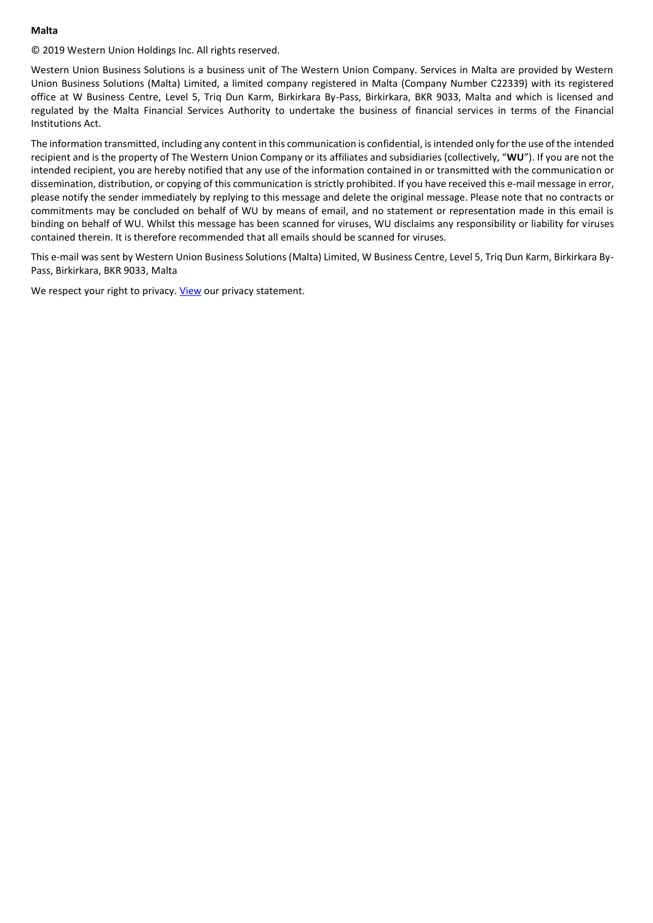#### **Malta**

© 2019 Western Union Holdings Inc. All rights reserved.

Western Union Business Solutions is a business unit of The Western Union Company. Services in Malta are provided by Western Union Business Solutions (Malta) Limited, a limited company registered in Malta (Company Number C22339) with its registered office at W Business Centre, Level 5, Triq Dun Karm, Birkirkara By-Pass, Birkirkara, BKR 9033, Malta and which is licensed and regulated by the Malta Financial Services Authority to undertake the business of financial services in terms of the Financial Institutions Act.

The information transmitted, including any content in this communication is confidential, is intended only for the use of the intended recipient and is the property of The Western Union Company or its affiliates and subsidiaries (collectively, "**WU**"). If you are not the intended recipient, you are hereby notified that any use of the information contained in or transmitted with the communication or dissemination, distribution, or copying of this communication is strictly prohibited. If you have received this e-mail message in error, please notify the sender immediately by replying to this message and delete the original message. Please note that no contracts or commitments may be concluded on behalf of WU by means of email, and no statement or representation made in this email is binding on behalf of WU. Whilst this message has been scanned for viruses, WU disclaims any responsibility or liability for viruses contained therein. It is therefore recommended that all emails should be scanned for viruses.

This e-mail was sent by Western Union Business Solutions (Malta) Limited, W Business Centre, Level 5, Triq Dun Karm, Birkirkara By-Pass, Birkirkara, BKR 9033, Malta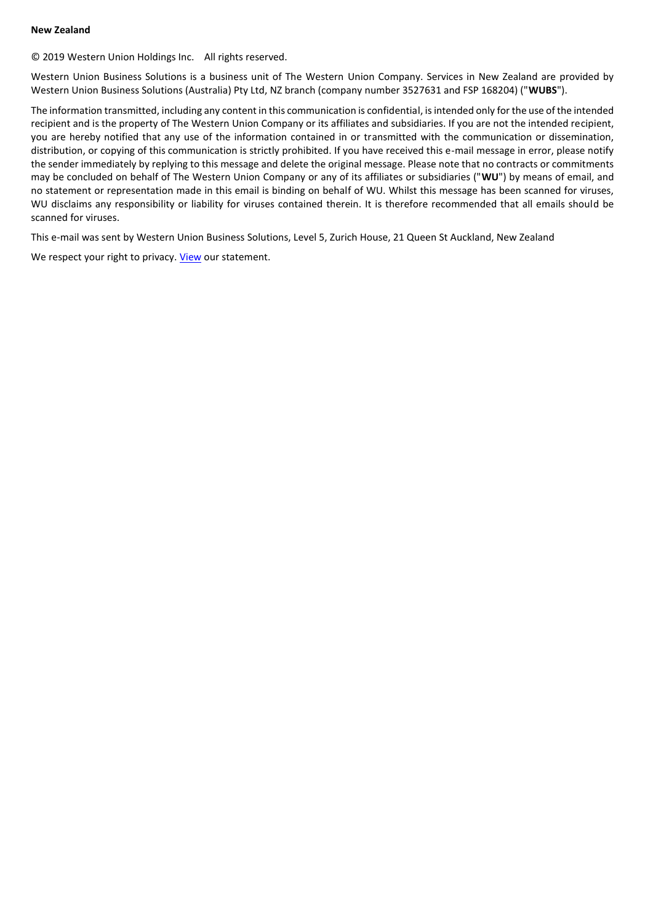#### **New Zealand**

© 2019 Western Union Holdings Inc. All rights reserved.

Western Union Business Solutions is a business unit of The Western Union Company. Services in New Zealand are provided by Western Union Business Solutions (Australia) Pty Ltd, NZ branch (company number 3527631 and FSP 168204) ("**WUBS**").

The information transmitted, including any content in this communication is confidential, is intended only for the use of the intended recipient and is the property of The Western Union Company or its affiliates and subsidiaries. If you are not the intended recipient, you are hereby notified that any use of the information contained in or transmitted with the communication or dissemination, distribution, or copying of this communication is strictly prohibited. If you have received this e-mail message in error, please notify the sender immediately by replying to this message and delete the original message. Please note that no contracts or commitments may be concluded on behalf of The Western Union Company or any of its affiliates or subsidiaries ("**WU**") by means of email, and no statement or representation made in this email is binding on behalf of WU. Whilst this message has been scanned for viruses, WU disclaims any responsibility or liability for viruses contained therein. It is therefore recommended that all emails should be scanned for viruses.

This e-mail was sent by Western Union Business Solutions, Level 5, Zurich House, 21 Queen St Auckland, New Zealand

We respect your right to privacy. [View](https://secure.westernunion.com/docs/privacy/wubsglobal/en-nz.pdf) our statement.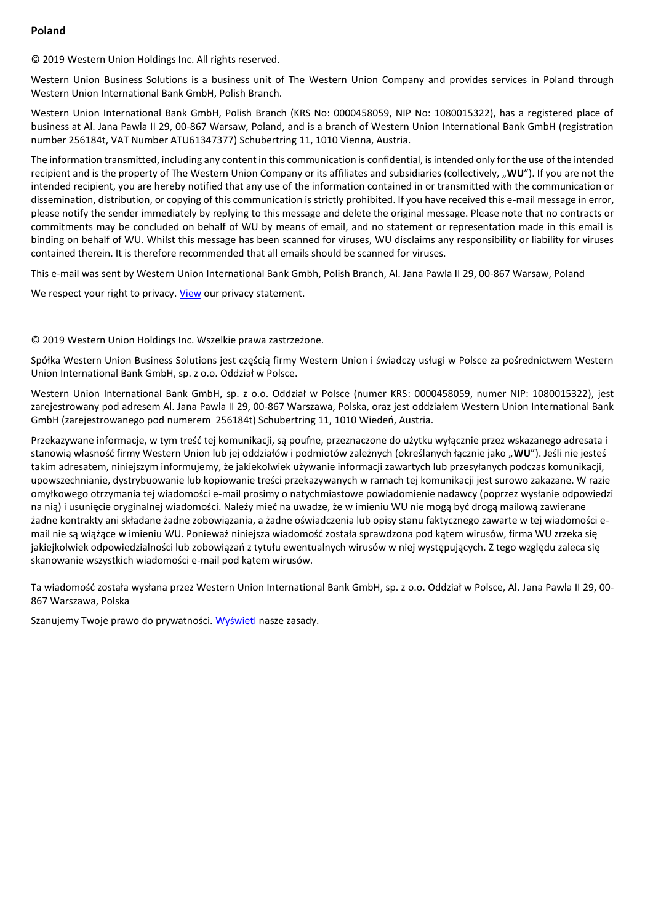## **Poland**

© 2019 Western Union Holdings Inc. All rights reserved.

Western Union Business Solutions is a business unit of The Western Union Company and provides services in Poland through Western Union International Bank GmbH, Polish Branch.

Western Union International Bank GmbH, Polish Branch (KRS No: 0000458059, NIP No: 1080015322), has a registered place of business at Al. Jana Pawla II 29, 00-867 Warsaw, Poland, and is a branch of Western Union International Bank GmbH (registration number 256184t, VAT Number ATU61347377) Schubertring 11, 1010 Vienna, Austria.

The information transmitted, including any content in this communication is confidential, is intended only for the use of the intended recipient and is the property of The Western Union Company or its affiliates and subsidiaries (collectively, "WU"). If you are not the intended recipient, you are hereby notified that any use of the information contained in or transmitted with the communication or dissemination, distribution, or copying of this communication is strictly prohibited. If you have received this e-mail message in error, please notify the sender immediately by replying to this message and delete the original message. Please note that no contracts or commitments may be concluded on behalf of WU by means of email, and no statement or representation made in this email is binding on behalf of WU. Whilst this message has been scanned for viruses, WU disclaims any responsibility or liability for viruses contained therein. It is therefore recommended that all emails should be scanned for viruses.

This e-mail was sent by Western Union International Bank Gmbh, Polish Branch, Al. Jana Pawla II 29, 00-867 Warsaw, Poland

We respect your right to privacy. [View](https://secure.westernunion.com/docs/privacy/wubsglobal/en-pl.pdf) our privacy statement.

#### © 2019 Western Union Holdings Inc. Wszelkie prawa zastrzeżone.

Spółka Western Union Business Solutions jest częścią firmy Western Union i świadczy usługi w Polsce za pośrednictwem Western Union International Bank GmbH, sp. z o.o. Oddział w Polsce.

Western Union International Bank GmbH, sp. z o.o. Oddział w Polsce (numer KRS: 0000458059, numer NIP: 1080015322), jest zarejestrowany pod adresem Al. Jana Pawla II 29, 00-867 Warszawa, Polska, oraz jest oddziałem Western Union International Bank GmbH (zarejestrowanego pod numerem 256184t) Schubertring 11, 1010 Wiedeń, Austria.

Przekazywane informacje, w tym treść tej komunikacji, są poufne, przeznaczone do użytku wyłącznie przez wskazanego adresata i stanowią własność firmy Western Union lub jej oddziałów i podmiotów zależnych (określanych łącznie jako "WU"). Jeśli nie jesteś takim adresatem, niniejszym informujemy, że jakiekolwiek używanie informacji zawartych lub przesyłanych podczas komunikacji, upowszechnianie, dystrybuowanie lub kopiowanie treści przekazywanych w ramach tej komunikacji jest surowo zakazane. W razie omyłkowego otrzymania tej wiadomości e-mail prosimy o natychmiastowe powiadomienie nadawcy (poprzez wysłanie odpowiedzi na nią) i usunięcie oryginalnej wiadomości. Należy mieć na uwadze, że w imieniu WU nie mogą być drogą mailową zawierane żadne kontrakty ani składane żadne zobowiązania, a żadne oświadczenia lub opisy stanu faktycznego zawarte w tej wiadomości email nie są wiążące w imieniu WU. Ponieważ niniejsza wiadomość została sprawdzona pod kątem wirusów, firma WU zrzeka się jakiejkolwiek odpowiedzialności lub zobowiązań z tytułu ewentualnych wirusów w niej występujących. Z tego względu zaleca się skanowanie wszystkich wiadomości e-mail pod kątem wirusów.

Ta wiadomość została wysłana przez Western Union International Bank GmbH, sp. z o.o. Oddział w Polsce, Al. Jana Pawla II 29, 00- 867 Warszawa, Polska

Szanujemy Twoje prawo do prywatności[. Wyświetl](https://secure.westernunion.com/docs/privacy/wubsglobal/pl-pl.pdf) nasze zasady.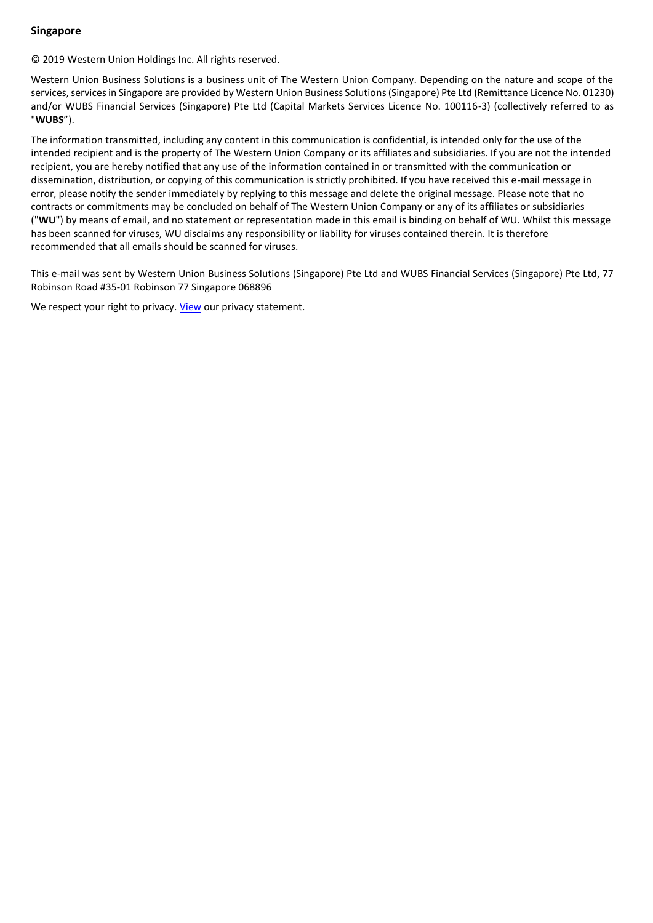# **Singapore**

© 2019 Western Union Holdings Inc. All rights reserved.

Western Union Business Solutions is a business unit of The Western Union Company. Depending on the nature and scope of the services, services in Singapore are provided by Western Union Business Solutions (Singapore) Pte Ltd (Remittance Licence No. 01230) and/or WUBS Financial Services (Singapore) Pte Ltd (Capital Markets Services Licence No. 100116-3) (collectively referred to as "**WUBS**").

The information transmitted, including any content in this communication is confidential, is intended only for the use of the intended recipient and is the property of The Western Union Company or its affiliates and subsidiaries. If you are not the intended recipient, you are hereby notified that any use of the information contained in or transmitted with the communication or dissemination, distribution, or copying of this communication is strictly prohibited. If you have received this e-mail message in error, please notify the sender immediately by replying to this message and delete the original message. Please note that no contracts or commitments may be concluded on behalf of The Western Union Company or any of its affiliates or subsidiaries ("**WU**") by means of email, and no statement or representation made in this email is binding on behalf of WU. Whilst this message has been scanned for viruses, WU disclaims any responsibility or liability for viruses contained therein. It is therefore recommended that all emails should be scanned for viruses.

This e-mail was sent by Western Union Business Solutions (Singapore) Pte Ltd and WUBS Financial Services (Singapore) Pte Ltd, 77 Robinson Road #35-01 Robinson 77 Singapore 068896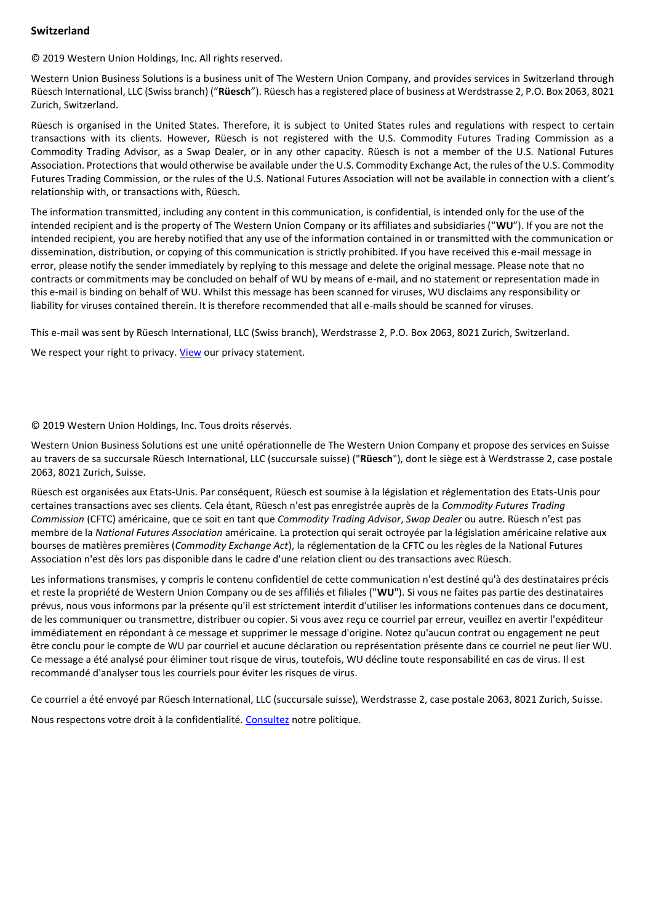# **Switzerland**

© 2019 Western Union Holdings, Inc. All rights reserved.

Western Union Business Solutions is a business unit of The Western Union Company, and provides services in Switzerland through Rüesch International, LLC (Swiss branch) ("**Rüesch**"). Rüesch has a registered place of business at Werdstrasse 2, P.O. Box 2063, 8021 Zurich, Switzerland.

Rüesch is organised in the United States. Therefore, it is subject to United States rules and regulations with respect to certain transactions with its clients. However, Rüesch is not registered with the U.S. Commodity Futures Trading Commission as a Commodity Trading Advisor, as a Swap Dealer, or in any other capacity. Rüesch is not a member of the U.S. National Futures Association. Protections that would otherwise be available under the U.S. Commodity Exchange Act, the rules of the U.S. Commodity Futures Trading Commission, or the rules of the U.S. National Futures Association will not be available in connection with a client's relationship with, or transactions with, Rüesch.

The information transmitted, including any content in this communication, is confidential, is intended only for the use of the intended recipient and is the property of The Western Union Company or its affiliates and subsidiaries ("**WU**"). If you are not the intended recipient, you are hereby notified that any use of the information contained in or transmitted with the communication or dissemination, distribution, or copying of this communication is strictly prohibited. If you have received this e-mail message in error, please notify the sender immediately by replying to this message and delete the original message. Please note that no contracts or commitments may be concluded on behalf of WU by means of e-mail, and no statement or representation made in this e-mail is binding on behalf of WU. Whilst this message has been scanned for viruses, WU disclaims any responsibility or liability for viruses contained therein. It is therefore recommended that all e-mails should be scanned for viruses.

This e-mail was sent by Rüesch International, LLC (Swiss branch), Werdstrasse 2, P.O. Box 2063, 8021 Zurich, Switzerland.

We respect your right to privacy. [View](https://secure.westernunion.com/docs/privacy/wubsglobal/en-ch.pdf) our privacy statement.

#### © 2019 Western Union Holdings, Inc. Tous droits réservés.

Western Union Business Solutions est une unité opérationnelle de The Western Union Company et propose des services en Suisse au travers de sa succursale Rüesch International, LLC (succursale suisse) ("**Rüesch**"), dont le siège est à Werdstrasse 2, case postale 2063, 8021 Zurich, Suisse.

Rüesch est organisées aux Etats-Unis. Par conséquent, Rüesch est soumise à la législation et réglementation des Etats-Unis pour certaines transactions avec ses clients. Cela étant, Rüesch n'est pas enregistrée auprès de la *Commodity Futures Trading Commission* (CFTC) américaine, que ce soit en tant que *Commodity Trading Advisor*, *Swap Dealer* ou autre. Rüesch n'est pas membre de la *National Futures Association* américaine. La protection qui serait octroyée par la législation américaine relative aux bourses de matières premières (*Commodity Exchange Act*), la réglementation de la CFTC ou les règles de la National Futures Association n'est dès lors pas disponible dans le cadre d'une relation client ou des transactions avec Rüesch.

Les informations transmises, y compris le contenu confidentiel de cette communication n'est destiné qu'à des destinataires précis et reste la propriété de Western Union Company ou de ses affiliés et filiales ("**WU**"). Si vous ne faites pas partie des destinataires prévus, nous vous informons par la présente qu'il est strictement interdit d'utiliser les informations contenues dans ce document, de les communiquer ou transmettre, distribuer ou copier. Si vous avez reçu ce courriel par erreur, veuillez en avertir l'expéditeur immédiatement en répondant à ce message et supprimer le message d'origine. Notez qu'aucun contrat ou engagement ne peut être conclu pour le compte de WU par courriel et aucune déclaration ou représentation présente dans ce courriel ne peut lier WU. Ce message a été analysé pour éliminer tout risque de virus, toutefois, WU décline toute responsabilité en cas de virus. Il est recommandé d'analyser tous les courriels pour éviter les risques de virus.

Ce courriel a été envoyé par Rüesch International, LLC (succursale suisse), Werdstrasse 2, case postale 2063, 8021 Zurich, Suisse. Nous respectons votre droit à la confidentialité. [Consultez](https://secure.westernunion.com/docs/privacy/wubsglobal/fr-ch.pdf) notre politique.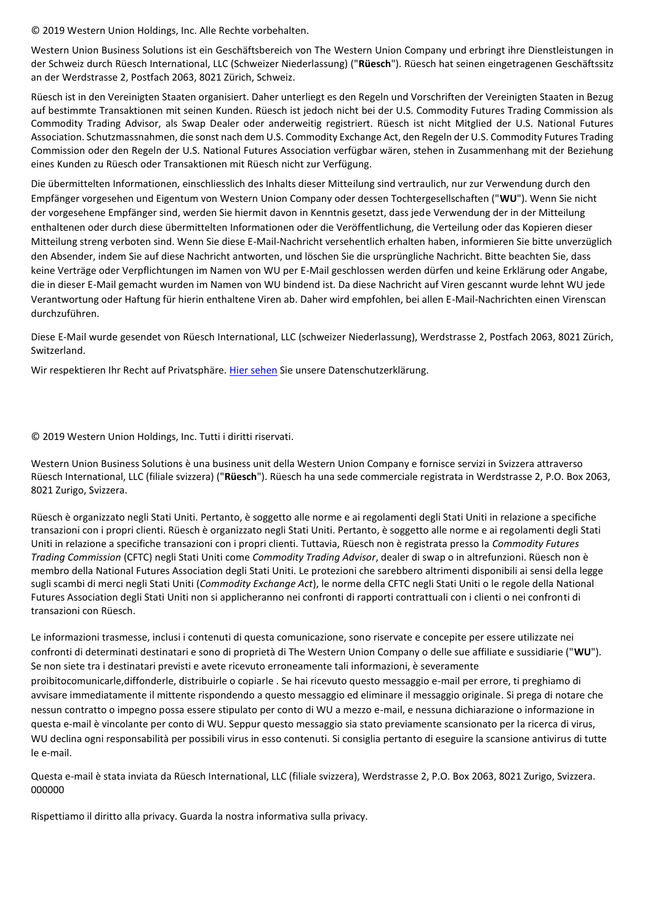© 2019 Western Union Holdings, Inc. Alle Rechte vorbehalten.

Western Union Business Solutions ist ein Geschäftsbereich von The Western Union Company und erbringt ihre Dienstleistungen in der Schweiz durch Rüesch International, LLC (Schweizer Niederlassung) ("**Rüesch**"). Rüesch hat seinen eingetragenen Geschäftssitz an der Werdstrasse 2, Postfach 2063, 8021 Zürich, Schweiz.

Rüesch ist in den Vereinigten Staaten organisiert. Daher unterliegt es den Regeln und Vorschriften der Vereinigten Staaten in Bezug auf bestimmte Transaktionen mit seinen Kunden. Rüesch ist jedoch nicht bei der U.S. Commodity Futures Trading Commission als Commodity Trading Advisor, als Swap Dealer oder anderweitig registriert. Rüesch ist nicht Mitglied der U.S. National Futures Association. Schutzmassnahmen, die sonst nach dem U.S. Commodity Exchange Act, den Regeln der U.S. Commodity Futures Trading Commission oder den Regeln der U.S. National Futures Association verfügbar wären, stehen in Zusammenhang mit der Beziehung eines Kunden zu Rüesch oder Transaktionen mit Rüesch nicht zur Verfügung.

Die übermittelten Informationen, einschliesslich des Inhalts dieser Mitteilung sind vertraulich, nur zur Verwendung durch den Empfänger vorgesehen und Eigentum von Western Union Company oder dessen Tochtergesellschaften ("**WU**"). Wenn Sie nicht der vorgesehene Empfänger sind, werden Sie hiermit davon in Kenntnis gesetzt, dass jede Verwendung der in der Mitteilung enthaltenen oder durch diese übermittelten Informationen oder die Veröffentlichung, die Verteilung oder das Kopieren dieser Mitteilung streng verboten sind. Wenn Sie diese E-Mail-Nachricht versehentlich erhalten haben, informieren Sie bitte unverzüglich den Absender, indem Sie auf diese Nachricht antworten, und löschen Sie die ursprüngliche Nachricht. Bitte beachten Sie, dass keine Verträge oder Verpflichtungen im Namen von WU per E-Mail geschlossen werden dürfen und keine Erklärung oder Angabe, die in dieser E-Mail gemacht wurden im Namen von WU bindend ist. Da diese Nachricht auf Viren gescannt wurde lehnt WU jede Verantwortung oder Haftung für hierin enthaltene Viren ab. Daher wird empfohlen, bei allen E-Mail-Nachrichten einen Virenscan durchzuführen.

Diese E-Mail wurde gesendet von Rüesch International, LLC (schweizer Niederlassung), Werdstrasse 2, Postfach 2063, 8021 Zürich, Switzerland.

Wir respektieren Ihr Recht auf Privatsphäre. [Hier sehen](https://secure.westernunion.com/docs/privacy/wubsglobal/de-ch.pdf) Sie unsere Datenschutzerklärung.

© 2019 Western Union Holdings, Inc. Tutti i diritti riservati.

Western Union Business Solutions è una business unit della Western Union Company e fornisce servizi in Svizzera attraverso Rüesch International, LLC (filiale svizzera) ("**Rüesch**"). Rüesch ha una sede commerciale registrata in Werdstrasse 2, P.O. Box 2063, 8021 Zurigo, Svizzera.

Rüesch è organizzato negli Stati Uniti. Pertanto, è soggetto alle norme e ai regolamenti degli Stati Uniti in relazione a specifiche transazioni con i propri clienti. Rüesch è organizzato negli Stati Uniti. Pertanto, è soggetto alle norme e ai regolamenti degli Stati Uniti in relazione a specifiche transazioni con i propri clienti. Tuttavia, Rüesch non è registrata presso la *Commodity Futures Trading Commission* (CFTC) negli Stati Uniti come *Commodity Trading Advisor*, dealer di swap o in altrefunzioni. Rüesch non è membro della National Futures Association degli Stati Uniti. Le protezioni che sarebbero altrimenti disponibili ai sensi della legge sugli scambi di merci negli Stati Uniti (*Commodity Exchange Act*), le norme della CFTC negli Stati Uniti o le regole della National Futures Association degli Stati Uniti non si applicheranno nei confronti di rapporti contrattuali con i clienti o nei confronti di transazioni con Rüesch.

Le informazioni trasmesse, inclusi i contenuti di questa comunicazione, sono riservate e concepite per essere utilizzate nei confronti di determinati destinatari e sono di proprietà di The Western Union Company o delle sue affiliate e sussidiarie ("**WU**"). Se non siete tra i destinatari previsti e avete ricevuto erroneamente tali informazioni, è severamente proibitocomunicarle,diffonderle, distribuirle o copiarle . Se hai ricevuto questo messaggio e-mail per errore, ti preghiamo di avvisare immediatamente il mittente rispondendo a questo messaggio ed eliminare il messaggio originale. Si prega di notare che nessun contratto o impegno possa essere stipulato per conto di WU a mezzo e-mail, e nessuna dichiarazione o informazione in questa e-mail è vincolante per conto di WU. Seppur questo messaggio sia stato previamente scansionato per la ricerca di virus, WU declina ogni responsabilità per possibili virus in esso contenuti. Si consiglia pertanto di eseguire la scansione antivirus di tutte le e-mail.

Questa e-mail è stata inviata da Rüesch International, LLC (filiale svizzera), Werdstrasse 2, P.O. Box 2063, 8021 Zurigo, Svizzera. 000000

Rispettiamo il diritto alla privacy. Guarda la nostra informativa sulla privacy.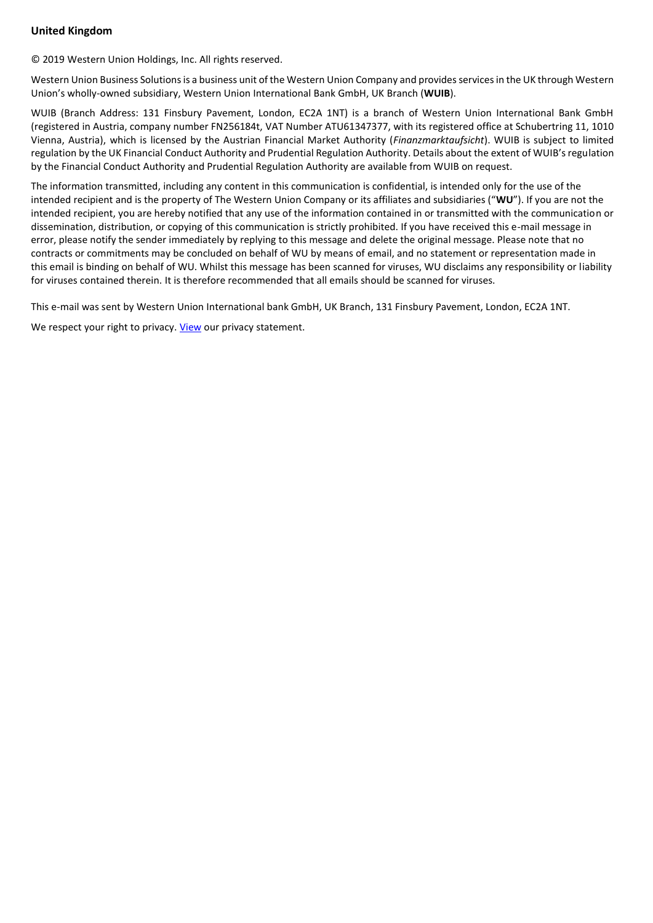# **United Kingdom**

© 2019 Western Union Holdings, Inc. All rights reserved.

Western Union Business Solutions is a business unit of the Western Union Company and provides services in the UK through Western Union's wholly-owned subsidiary, Western Union International Bank GmbH, UK Branch (**WUIB**).

WUIB (Branch Address: 131 Finsbury Pavement, London, EC2A 1NT) is a branch of Western Union International Bank GmbH (registered in Austria, company number FN256184t, VAT Number ATU61347377, with its registered office at Schubertring 11, 1010 Vienna, Austria), which is licensed by the Austrian Financial Market Authority (*Finanzmarktaufsicht*). WUIB is subject to limited regulation by the UK Financial Conduct Authority and Prudential Regulation Authority. Details about the extent of WUIB's regulation by the Financial Conduct Authority and Prudential Regulation Authority are available from WUIB on request.

The information transmitted, including any content in this communication is confidential, is intended only for the use of the intended recipient and is the property of The Western Union Company or its affiliates and subsidiaries ("**WU**"). If you are not the intended recipient, you are hereby notified that any use of the information contained in or transmitted with the communication or dissemination, distribution, or copying of this communication is strictly prohibited. If you have received this e-mail message in error, please notify the sender immediately by replying to this message and delete the original message. Please note that no contracts or commitments may be concluded on behalf of WU by means of email, and no statement or representation made in this email is binding on behalf of WU. Whilst this message has been scanned for viruses, WU disclaims any responsibility or liability for viruses contained therein. It is therefore recommended that all emails should be scanned for viruses.

This e-mail was sent by Western Union International bank GmbH, UK Branch, 131 Finsbury Pavement, London, EC2A 1NT.